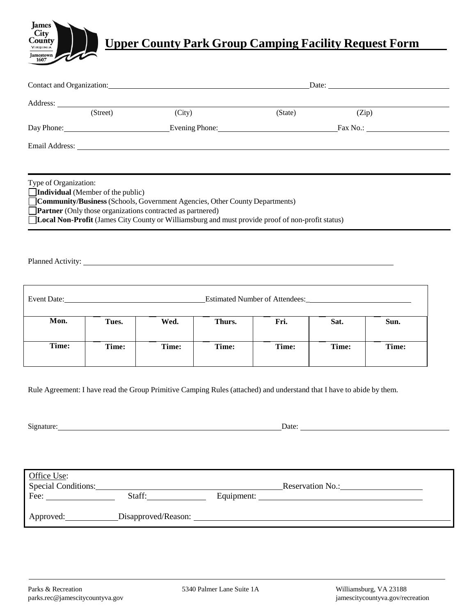

## **Upper County Park Group Camping Facility Request Form**

| Contact and Organization: Contact and Organization:                                                                                                              |                                                                                                                                                                                       |        |        | Date:                                                                                            |       |       |
|------------------------------------------------------------------------------------------------------------------------------------------------------------------|---------------------------------------------------------------------------------------------------------------------------------------------------------------------------------------|--------|--------|--------------------------------------------------------------------------------------------------|-------|-------|
|                                                                                                                                                                  |                                                                                                                                                                                       |        |        |                                                                                                  |       |       |
|                                                                                                                                                                  | (Street)                                                                                                                                                                              | (City) |        | (State)                                                                                          | (Zip) |       |
|                                                                                                                                                                  |                                                                                                                                                                                       |        |        |                                                                                                  |       |       |
|                                                                                                                                                                  |                                                                                                                                                                                       |        |        |                                                                                                  |       |       |
| Type of Organization:                                                                                                                                            | Individual (Member of the public)<br>Community/Business (Schools, Government Agencies, Other County Departments)<br><b>Partner</b> (Only those organizations contracted as partnered) |        |        | Local Non-Profit (James City County or Williamsburg and must provide proof of non-profit status) |       |       |
|                                                                                                                                                                  |                                                                                                                                                                                       |        |        |                                                                                                  |       |       |
|                                                                                                                                                                  |                                                                                                                                                                                       |        |        |                                                                                                  |       |       |
| Mon.                                                                                                                                                             | Tues.                                                                                                                                                                                 | Wed.   | Thurs. | Fri.                                                                                             | Sat.  | Sun.  |
| Time:                                                                                                                                                            | Time:                                                                                                                                                                                 | Time:  | Time:  | Time:                                                                                            | Time: | Time: |
| Rule Agreement: I have read the Group Primitive Camping Rules (attached) and understand that I have to abide by them.<br>Signature:<br>Date:                     |                                                                                                                                                                                       |        |        |                                                                                                  |       |       |
| Office Use:<br>Special Conditions: No.: Reservation No.: Nesservation No.: Nesservation No.: Nesservation No.: Nesservation No<br>Staff:<br>Fee: $\qquad \qquad$ |                                                                                                                                                                                       |        |        |                                                                                                  |       |       |
|                                                                                                                                                                  |                                                                                                                                                                                       |        |        |                                                                                                  |       |       |